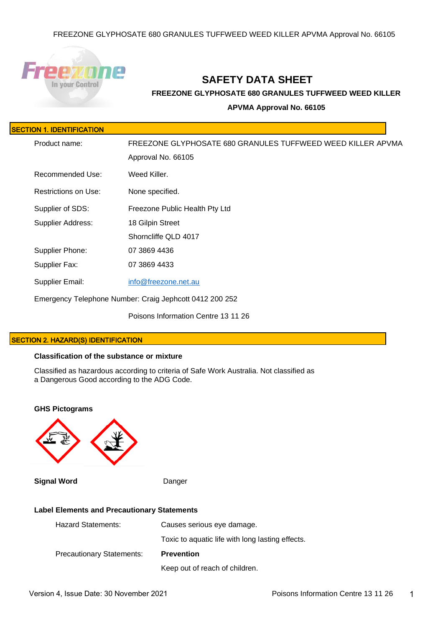

# **SAFETY DATA SHEET**

**FREEZONE GLYPHOSATE 680 GRANULES TUFFWEED WEED KILLER** 

**APVMA Approval No. 66105**

| ISECTION 1. IDENTIFICATION |
|----------------------------|
|                            |

| Product name:            | FREEZONE GLYPHOSATE 680 GRANULES TUFFWEED WEED KILLER APVMA |  |
|--------------------------|-------------------------------------------------------------|--|
|                          | Approval No. 66105                                          |  |
| Recommended Use:         | Weed Killer.                                                |  |
| Restrictions on Use:     | None specified.                                             |  |
| Supplier of SDS:         | Freezone Public Health Pty Ltd                              |  |
| <b>Supplier Address:</b> | 18 Gilpin Street                                            |  |
|                          | Shorncliffe QLD 4017                                        |  |
| Supplier Phone:          | 07 3869 4436                                                |  |
| Supplier Fax:            | 07 3869 4433                                                |  |
| <b>Supplier Email:</b>   | info@freezone.net.au                                        |  |
|                          | Emergency Telephone Number: Craig Jephcott 0412 200 252     |  |
|                          | Poisons Information Centre 13 11 26                         |  |

# SECTION 2. HAZARD(S) IDENTIFICATION

# **Classification of the substance or mixture**

Classified as hazardous according to criteria of Safe Work Australia. Not classified as a Dangerous Good according to the ADG Code.



| <b>Hazard Statements:</b>        | Causes serious eye damage.                       |
|----------------------------------|--------------------------------------------------|
|                                  | Toxic to aquatic life with long lasting effects. |
| <b>Precautionary Statements:</b> | <b>Prevention</b>                                |
|                                  | Keep out of reach of children.                   |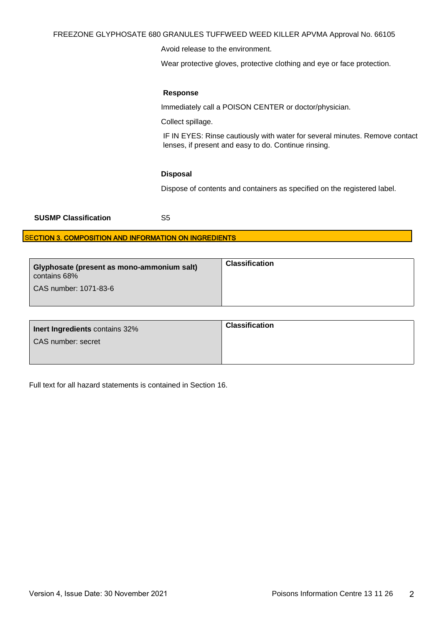### FREEZONE GLYPHOSATE 680 GRANULES TUFFWEED WEED KILLER APVMA Approval No. 66105

Avoid release to the environment.

Wear protective gloves, protective clothing and eye or face protection.

### **Response**

Immediately call a POISON CENTER or doctor/physician.

Collect spillage.

IF IN EYES: Rinse cautiously with water for several minutes. Remove contact lenses, if present and easy to do. Continue rinsing.

### **Disposal**

Dispose of contents and containers as specified on the registered label.

| <b>SUSMP Classification</b> | S5 |
|-----------------------------|----|
|-----------------------------|----|

# SECTION 3. COMPOSITION AND INFORMATION ON INGREDIENTS

| Glyphosate (present as mono-ammonium salt)<br>contains 68%<br>CAS number: 1071-83-6 | <b>Classification</b> |
|-------------------------------------------------------------------------------------|-----------------------|
|-------------------------------------------------------------------------------------|-----------------------|

| <b>Inert Ingredients contains 32%</b> | <b>Classification</b> |
|---------------------------------------|-----------------------|
| CAS number: secret                    |                       |
|                                       |                       |

Full text for all hazard statements is contained in Section 16.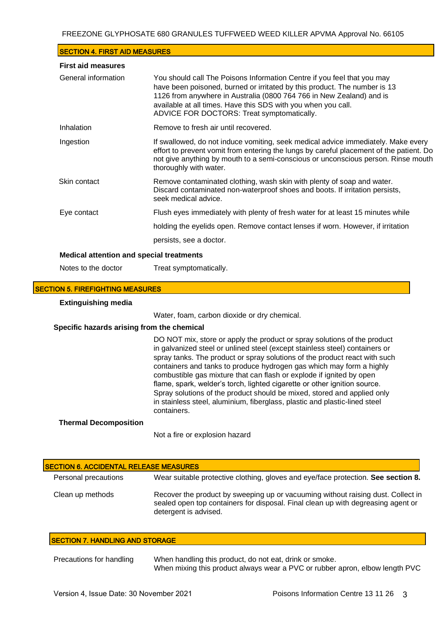| <b>SECTION 4. FIRST AID MEASURES</b>            |                                                                                                                                                                                                                                                                                                                                             |
|-------------------------------------------------|---------------------------------------------------------------------------------------------------------------------------------------------------------------------------------------------------------------------------------------------------------------------------------------------------------------------------------------------|
| <b>First aid measures</b>                       |                                                                                                                                                                                                                                                                                                                                             |
| General information                             | You should call The Poisons Information Centre if you feel that you may<br>have been poisoned, burned or irritated by this product. The number is 13<br>1126 from anywhere in Australia (0800 764 766 in New Zealand) and is<br>available at all times. Have this SDS with you when you call.<br>ADVICE FOR DOCTORS: Treat symptomatically. |
| Inhalation                                      | Remove to fresh air until recovered.                                                                                                                                                                                                                                                                                                        |
| Ingestion                                       | If swallowed, do not induce vomiting, seek medical advice immediately. Make every<br>effort to prevent vomit from entering the lungs by careful placement of the patient. Do<br>not give anything by mouth to a semi-conscious or unconscious person. Rinse mouth<br>thoroughly with water.                                                 |
| Skin contact                                    | Remove contaminated clothing, wash skin with plenty of soap and water.<br>Discard contaminated non-waterproof shoes and boots. If irritation persists,<br>seek medical advice.                                                                                                                                                              |
| Eye contact                                     | Flush eyes immediately with plenty of fresh water for at least 15 minutes while                                                                                                                                                                                                                                                             |
|                                                 | holding the eyelids open. Remove contact lenses if worn. However, if irritation                                                                                                                                                                                                                                                             |
|                                                 | persists, see a doctor.                                                                                                                                                                                                                                                                                                                     |
| <b>Medical attention and special treatments</b> |                                                                                                                                                                                                                                                                                                                                             |
| Notes to the doctor                             | Treat symptomatically.                                                                                                                                                                                                                                                                                                                      |

### SECTION 5. FIREFIGHTING MEASURES

#### **Extinguishing media**

Water, foam, carbon dioxide or dry chemical.

### **Specific hazards arising from the chemical**

DO NOT mix, store or apply the product or spray solutions of the product in galvanized steel or unlined steel (except stainless steel) containers or spray tanks. The product or spray solutions of the product react with such containers and tanks to produce hydrogen gas which may form a highly combustible gas mixture that can flash or explode if ignited by open flame, spark, welder's torch, lighted cigarette or other ignition source. Spray solutions of the product should be mixed, stored and applied only in stainless steel, aluminium, fiberglass, plastic and plastic-lined steel containers.

# **Thermal Decomposition**

Not a fire or explosion hazard

| <b>SECTION 6. ACCIDENTAL RELEASE MEASURES</b> |                                                                                                                                                                                               |  |
|-----------------------------------------------|-----------------------------------------------------------------------------------------------------------------------------------------------------------------------------------------------|--|
| Personal precautions                          | Wear suitable protective clothing, gloves and eye/face protection. See section 8.                                                                                                             |  |
| Clean up methods                              | Recover the product by sweeping up or vacuuming without raising dust. Collect in<br>sealed open top containers for disposal. Final clean up with degreasing agent or<br>detergent is advised. |  |

### SECTION 7. HANDLING AND STORAGE

| Precautions for handling | When handling this product, do not eat, drink or smoke.                      |  |
|--------------------------|------------------------------------------------------------------------------|--|
|                          | When mixing this product always wear a PVC or rubber apron, elbow length PVC |  |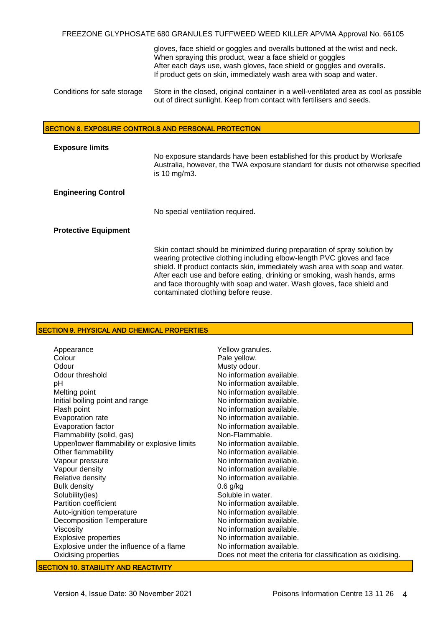FREEZONE GLYPHOSATE 680 GRANULES TUFFWEED WEED KILLER APVMA Approval No. 66105

|                             | gloves, face shield or goggles and overalls buttoned at the wrist and neck.<br>When spraying this product, wear a face shield or goggles<br>After each days use, wash gloves, face shield or goggles and overalls.<br>If product gets on skin, immediately wash area with soap and water. |
|-----------------------------|-------------------------------------------------------------------------------------------------------------------------------------------------------------------------------------------------------------------------------------------------------------------------------------------|
| Conditions for safe storage | Store in the closed, original container in a well-ventilated area as cool as possible<br>out of direct sunlight. Keep from contact with fertilisers and seeds.                                                                                                                            |

### SECTION 8. EXPOSURE CONTROLS AND PERSONAL PROTECTION

| <b>Exposure limits</b>      | No exposure standards have been established for this product by Worksafe<br>Australia, however, the TWA exposure standard for dusts not otherwise specified<br>is 10 mg/m3.                                                                                                                                                                                                                                                   |
|-----------------------------|-------------------------------------------------------------------------------------------------------------------------------------------------------------------------------------------------------------------------------------------------------------------------------------------------------------------------------------------------------------------------------------------------------------------------------|
| <b>Engineering Control</b>  |                                                                                                                                                                                                                                                                                                                                                                                                                               |
|                             | No special ventilation required.                                                                                                                                                                                                                                                                                                                                                                                              |
| <b>Protective Equipment</b> |                                                                                                                                                                                                                                                                                                                                                                                                                               |
|                             | Skin contact should be minimized during preparation of spray solution by<br>wearing protective clothing including elbow-length PVC gloves and face<br>shield. If product contacts skin, immediately wash area with soap and water.<br>After each use and before eating, drinking or smoking, wash hands, arms<br>and face thoroughly with soap and water. Wash gloves, face shield and<br>contaminated clothing before reuse. |

# SECTION 9. PHYSICAL AND CHEMICAL PROPERTIES

| Appearance                                   | Yellow granules.                                            |
|----------------------------------------------|-------------------------------------------------------------|
| Colour                                       | Pale yellow.                                                |
| Odour                                        | Musty odour.                                                |
| Odour threshold                              | No information available.                                   |
| рH                                           | No information available.                                   |
| Melting point                                | No information available.                                   |
| Initial boiling point and range              | No information available.                                   |
| Flash point                                  | No information available.                                   |
| Evaporation rate                             | No information available.                                   |
| Evaporation factor                           | No information available.                                   |
| Flammability (solid, gas)                    | Non-Flammable.                                              |
| Upper/lower flammability or explosive limits | No information available.                                   |
| Other flammability                           | No information available.                                   |
| Vapour pressure                              | No information available.                                   |
| Vapour density                               | No information available.                                   |
| Relative density                             | No information available.                                   |
| <b>Bulk density</b>                          | $0.6$ g/kg                                                  |
| Solubility(ies)                              | Soluble in water.                                           |
| Partition coefficient                        | No information available.                                   |
| Auto-ignition temperature                    | No information available.                                   |
| <b>Decomposition Temperature</b>             | No information available.                                   |
| Viscosity                                    | No information available.                                   |
| <b>Explosive properties</b>                  | No information available.                                   |
| Explosive under the influence of a flame     | No information available.                                   |
| Oxidising properties                         | Does not meet the criteria for classification as oxidising. |

# **SECTION 10. STABILITY AND REACTIVITY**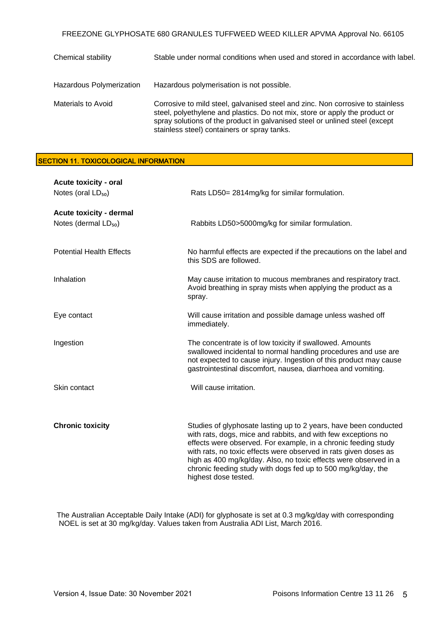FREEZONE GLYPHOSATE 680 GRANULES TUFFWEED WEED KILLER APVMA Approval No. 66105

| Chemical stability        | Stable under normal conditions when used and stored in accordance with label.                                                                                                                                                                                                               |
|---------------------------|---------------------------------------------------------------------------------------------------------------------------------------------------------------------------------------------------------------------------------------------------------------------------------------------|
| Hazardous Polymerization  | Hazardous polymerisation is not possible.                                                                                                                                                                                                                                                   |
| <b>Materials to Avoid</b> | Corrosive to mild steel, galvanised steel and zinc. Non corrosive to stainless<br>steel, polyethylene and plastics. Do not mix, store or apply the product or<br>spray solutions of the product in galvanised steel or unlined steel (except<br>stainless steel) containers or spray tanks. |

# SECTION 11. TOXICOLOGICAL INFORMATION

| Acute toxicity - oral<br>Notes (oral LD <sub>50</sub> )            | Rats LD50= 2814mg/kg for similar formulation.                                                                                                                                                                                                                                                                                                                                                                                       |
|--------------------------------------------------------------------|-------------------------------------------------------------------------------------------------------------------------------------------------------------------------------------------------------------------------------------------------------------------------------------------------------------------------------------------------------------------------------------------------------------------------------------|
| <b>Acute toxicity - dermal</b><br>Notes (dermal LD <sub>50</sub> ) | Rabbits LD50>5000mg/kg for similar formulation.                                                                                                                                                                                                                                                                                                                                                                                     |
| <b>Potential Health Effects</b>                                    | No harmful effects are expected if the precautions on the label and<br>this SDS are followed.                                                                                                                                                                                                                                                                                                                                       |
| Inhalation                                                         | May cause irritation to mucous membranes and respiratory tract.<br>Avoid breathing in spray mists when applying the product as a<br>spray.                                                                                                                                                                                                                                                                                          |
| Eye contact                                                        | Will cause irritation and possible damage unless washed off<br>immediately.                                                                                                                                                                                                                                                                                                                                                         |
| Ingestion                                                          | The concentrate is of low toxicity if swallowed. Amounts<br>swallowed incidental to normal handling procedures and use are<br>not expected to cause injury. Ingestion of this product may cause<br>gastrointestinal discomfort, nausea, diarrhoea and vomiting.                                                                                                                                                                     |
| Skin contact                                                       | Will cause irritation.                                                                                                                                                                                                                                                                                                                                                                                                              |
| <b>Chronic toxicity</b>                                            | Studies of glyphosate lasting up to 2 years, have been conducted<br>with rats, dogs, mice and rabbits, and with few exceptions no<br>effects were observed. For example, in a chronic feeding study<br>with rats, no toxic effects were observed in rats given doses as<br>high as 400 mg/kg/day. Also, no toxic effects were observed in a<br>chronic feeding study with dogs fed up to 500 mg/kg/day, the<br>highest dose tested. |

The Australian Acceptable Daily Intake (ADI) for glyphosate is set at 0.3 mg/kg/day with corresponding NOEL is set at 30 mg/kg/day. Values taken from Australia ADI List, March 2016.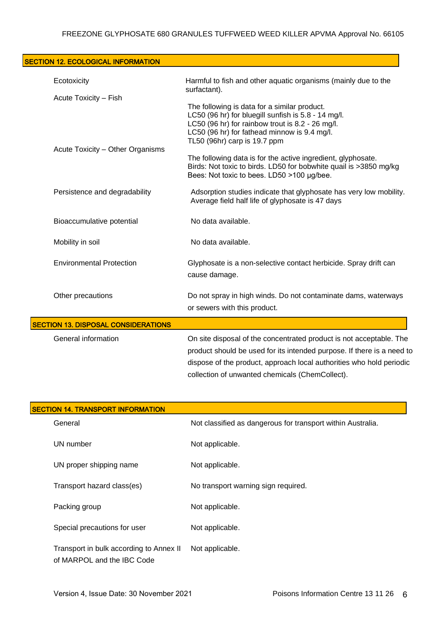| <b>SECTION 12. ECOLOGICAL INFORMATION</b>  |                                                                                                                                                                                                                                                                          |
|--------------------------------------------|--------------------------------------------------------------------------------------------------------------------------------------------------------------------------------------------------------------------------------------------------------------------------|
| Ecotoxicity                                | Harmful to fish and other aquatic organisms (mainly due to the<br>surfactant).                                                                                                                                                                                           |
| Acute Toxicity - Fish                      | The following is data for a similar product.<br>LC50 (96 hr) for bluegill sunfish is 5.8 - 14 mg/l.<br>LC50 (96 hr) for rainbow trout is 8.2 - 26 mg/l.<br>LC50 (96 hr) for fathead minnow is 9.4 mg/l.<br>TL50 (96hr) carp is 19.7 ppm                                  |
| Acute Toxicity - Other Organisms           | The following data is for the active ingredient, glyphosate.<br>Birds: Not toxic to birds. LD50 for bobwhite quail is >3850 mg/kg<br>Bees: Not toxic to bees. LD50 >100 µg/bee.                                                                                          |
| Persistence and degradability              | Adsorption studies indicate that glyphosate has very low mobility.<br>Average field half life of glyphosate is 47 days                                                                                                                                                   |
| Bioaccumulative potential                  | No data available.                                                                                                                                                                                                                                                       |
| Mobility in soil                           | No data available.                                                                                                                                                                                                                                                       |
| <b>Environmental Protection</b>            | Glyphosate is a non-selective contact herbicide. Spray drift can<br>cause damage.                                                                                                                                                                                        |
| Other precautions                          | Do not spray in high winds. Do not contaminate dams, waterways<br>or sewers with this product.                                                                                                                                                                           |
| <b>SECTION 13. DISPOSAL CONSIDERATIONS</b> |                                                                                                                                                                                                                                                                          |
| General information                        | On site disposal of the concentrated product is not acceptable. The<br>product should be used for its intended purpose. If there is a need to<br>dispose of the product, approach local authorities who hold periodic<br>collection of unwanted chemicals (ChemCollect). |

| <b>SECTION 14. TRANSPORT INFORMATION</b>                              |                                                             |  |
|-----------------------------------------------------------------------|-------------------------------------------------------------|--|
| General                                                               | Not classified as dangerous for transport within Australia. |  |
| UN number                                                             | Not applicable.                                             |  |
| UN proper shipping name                                               | Not applicable.                                             |  |
| Transport hazard class(es)                                            | No transport warning sign required.                         |  |
| Packing group                                                         | Not applicable.                                             |  |
| Special precautions for user                                          | Not applicable.                                             |  |
| Transport in bulk according to Annex II<br>of MARPOL and the IBC Code | Not applicable.                                             |  |

Ē,